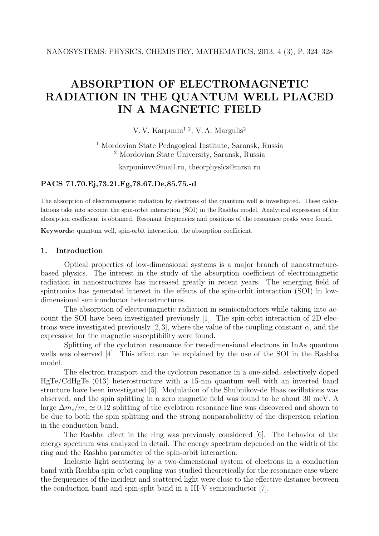# **ABSORPTION OF ELECTROMAGNETIC RADIATION IN THE QUANTUM WELL PLACED IN A MAGNETIC FIELD**

V. V. Karpunin<sup>1,2</sup>, V. A. Margulis<sup>2</sup>

<sup>1</sup> Mordovian State Pedagogical Institute, Saransk, Russia <sup>2</sup> Mordovian State University, Saransk, Russia

karpuninvv@mail.ru, theorphysics@mrsu.ru

## **PACS 71.70.Ej,73.21.Fg,78.67.De,85.75.-d**

The absorption of electromagnetic radiation by electrons of the quantum well is investigated. These calculations take into account the spin-orbit interaction (SOI) in the Rashba model. Analytical expression of the absorption coefficient is obtained. Resonant frequencies and positions of the resonance peaks were found.

**Keywords:** quantum well, spin-orbit interaction, the absorption coefficient.

## **1. Introduction**

Optical properties of low-dimensional systems is a major branch of nanostructurebased physics. The interest in the study of the absorption coefficient of electromagnetic radiation in nanostructures has increased greatly in recent years. The emerging field of spintronics has generated interest in the effects of the spin-orbit interaction (SOI) in lowdimensional semiconductor heterostructures.

The absorption of electromagnetic radiation in semiconductors while taking into account the SOI have been investigated previously [1]. The spin-orbit interaction of 2D electrons were investigated previously [2,3], where the value of the coupling constant  $\alpha$ , and the expression for the magnetic susceptibility were found.

Splitting of the cyclotron resonance for two-dimensional electrons in InAs quantum wells was observed [4]. This effect can be explained by the use of the SOI in the Rashba model.

The electron transport and the cyclotron resonance in a one-sided, selectively doped HgTe/CdHgTe (013) heterostructure with a 15-nm quantum well with an inverted band structure have been investigated [5]. Modulation of the Shubnikov-de Haas oscillations was observed, and the spin splitting in a zero magnetic field was found to be about 30 meV. A large  $\Delta m_c/m_c \simeq 0.12$  splitting of the cyclotron resonance line was discovered and shown to be due to both the spin splitting and the strong popparabolicity of the dispersion relation be due to both the spin splitting and the strong nonparabolicity of the dispersion relation in the conduction band.

The Rashba effect in the ring was previously considered [6]. The behavior of the energy spectrum was analyzed in detail. The energy spectrum depended on the width of the ring and the Rashba parameter of the spin-orbit interaction.

Inelastic light scattering by a two-dimensional system of electrons in a conduction band with Rashba spin-orbit coupling was studied theoretically for the resonance case where the frequencies of the incident and scattered light were close to the effective distance between the conduction band and spin-split band in a III-V semiconductor [7].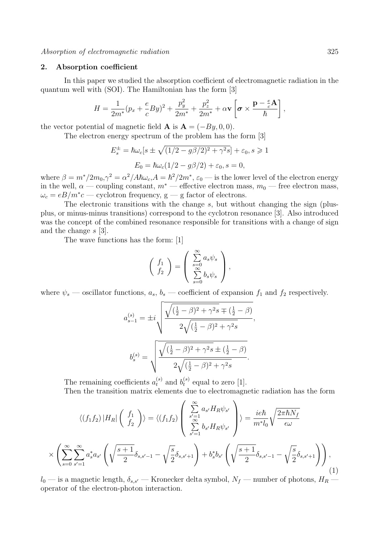#### **2. Absorption coefficient**

In this paper we studied the absorption coefficient of electromagnetic radiation in the quantum well with (SOI). The Hamiltonian has the form [3]

$$
H = \frac{1}{2m^*}(p_x + \frac{e}{c}By)^2 + \frac{p_y^2}{2m^*} + \frac{p_z^2}{2m^*} + \alpha \mathbf{v} \left[ \boldsymbol{\sigma} \times \frac{\mathbf{p} - \frac{e}{c}\mathbf{A}}{\hbar} \right],
$$

the vector potential of magnetic field **A** is  $A = (-By, 0, 0)$ .

The electron energy spectrum of the problem has the form [3]

$$
E_s^{\pm} = \hbar\omega_c[s \pm \sqrt{(1/2 - g\beta/2)^2 + \gamma^2 s}] + \varepsilon_0, s \ge 1
$$

$$
E_0 = \hbar\omega_c(1/2 - g\beta/2) + \varepsilon_0, s = 0,
$$

where  $\beta = m^*/2m_0$ ,  $\gamma^2 = \alpha^2/A\hbar\omega_c$ ,  $A = \hbar^2/2m^*$ ,  $\varepsilon_0$  — is the lower level of the electron energy in the well  $\alpha$  — coupling constant  $m^*$  — effective electron mass  $m_0$  — free electron mass in the well,  $\alpha$  — coupling constant,  $m^*$  — effective electron mass,  $m_0$  — free electron mass,  $\omega_c = eB/m^*c$  — cyclotron frequency, g — g factor of electrons.

The electronic transitions with the change s, but without changing the sign (plusplus, or minus-minus transitions) correspond to the cyclotron resonance [3]. Also introduced was the concept of the combined resonance responsible for transitions with a change of sign and the change s [3].

The wave functions has the form: [1]

$$
\begin{pmatrix} f_1 \\ f_2 \end{pmatrix} = \begin{pmatrix} \sum_{s=0}^{\infty} a_s \psi_s \\ \sum_{s=0}^{\infty} b_s \psi_s \end{pmatrix},
$$

where  $\psi_s$  — oscillator functions,  $a_s$ ,  $b_s$  — coefficient of expansion  $f_1$  and  $f_2$  respectively.

$$
a_{s-1}^{(s)} = \pm i \sqrt{\frac{\sqrt{(\frac{1}{2} - \beta)^2 + \gamma^2 s} \mp (\frac{1}{2} - \beta)}{2\sqrt{(\frac{1}{2} - \beta)^2 + \gamma^2 s}}},
$$

$$
b_s^{(s)} = \sqrt{\frac{\sqrt{(\frac{1}{2} - \beta)^2 + \gamma^2 s} \pm (\frac{1}{2} - \beta)}{2\sqrt{(\frac{1}{2} - \beta)^2 + \gamma^2 s}}}.
$$

The remaining coefficients  $a_t^{(s)}$  and  $b_t^{(s)}$  equal to zero [1].<br>Then the transition matrix elements due to electromagne Then the transition matrix elements due to electromagnetic radiation has the form

$$
\langle (f_1 f_2) | H_R | \begin{pmatrix} f_1 \\ f_2 \end{pmatrix} \rangle = \langle (f_1 f_2) \begin{pmatrix} \sum_{s'=1}^{\infty} a_{s'} H_R \psi_{s'} \\ \sum_{s'=1}^{\infty} b_{s'} H_R \psi_{s'} \end{pmatrix} \rangle = \frac{ie\hbar}{m^* l_0} \sqrt{\frac{2\pi \hbar N_f}{\epsilon \omega}}
$$

$$
\times \left( \sum_{s=0}^{\infty} \sum_{s'=1}^{\infty} a_s^* a_{s'} \left( \sqrt{\frac{s+1}{2}} \delta_{s,s'-1} - \sqrt{\frac{s}{2}} \delta_{s,s'+1} \right) + b_s^* b_{s'} \left( \sqrt{\frac{s+1}{2}} \delta_{s,s'-1} - \sqrt{\frac{s}{2}} \delta_{s,s'+1} \right) \right), \tag{1}
$$

 $l_0$  — is a magnetic length,  $\delta_{s,s'}$  — Kronecker delta symbol,  $N_f$  — number of photons,  $H_R$  — operator of the electron-photon interaction operator of the electron-photon interaction.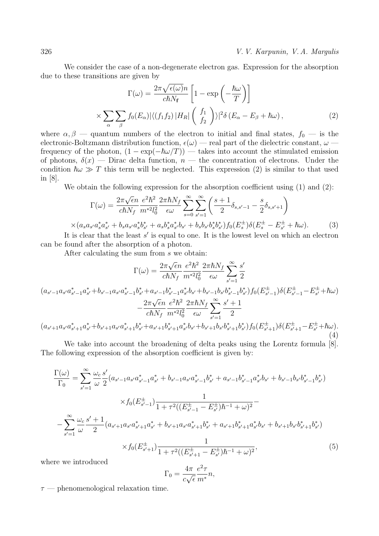326 *V. V. Karpunin, V. A. Margulis*

We consider the case of a non-degenerate electron gas. Expression for the absorption due to these transitions are given by

$$
\Gamma(\omega) = \frac{2\pi\sqrt{\epsilon(\omega)}n}{c\hbar N_f} \left[1 - \exp\left(-\frac{\hbar\omega}{T}\right)\right]
$$

$$
\times \sum_{\alpha} \sum_{\beta} f_0(E_{\alpha}) |\langle (f_1 f_2) | H_R| \left(\frac{f_1}{f_2}\right) \rangle|^2 \delta(E_{\alpha} - E_{\beta} + \hbar\omega), \qquad (2)
$$

where  $\alpha, \beta$  — quantum numbers of the electron to initial and final states,  $f_0$  — is the electronic-Boltzmann distribution function,  $\epsilon(\omega)$  — real part of the dielectric constant,  $\omega$  frequency of the photon,  $(1 - \exp(-\hbar \omega/T))$  — takes into account the stimulated emission<br>of photons  $\delta(r)$  — Dirac delta function  $n$  — the concentration of electrons. Under the of photons,  $\delta(x)$  — Dirac delta function,  $n$  — the concentration of electrons. Under the condition  $\hbar \omega \gg T$  this term will be neglected. This expression (2) is similar to that used<br>in [8] in [8].

We obtain the following expression for the absorption coefficient using (1) and (2):

$$
\Gamma(\omega) = \frac{2\pi\sqrt{\epsilon}n}{c\hbar N_f} \frac{e^2\hbar^2}{m^{*2}l_0^2} \frac{2\pi\hbar N_f}{\epsilon\omega} \sum_{s=0}^{\infty} \sum_{s'=1}^{\infty} \left(\frac{s+1}{2} \delta_{s,s'-1} - \frac{s}{2} \delta_{s,s'+1}\right)
$$

$$
\times (a_s a_{s'} a_s^* a_{s'}^* + b_s a_{s'} a_s^* b_{s'}^* + a_s b_s^* a_{s'}^* b_{s'} + b_s b_{s'} b_s^* b_{s'}^* ) f_0(E_s^{\pm}) \delta(E_s^{\pm} - E_{s'}^{\pm} + \hbar\omega). \tag{3}
$$
is also that the least  $s'$  is a small to any. It is the largest level, or which is a electron.

It is clear that the least  $s'$  is equal to one. It is the lowest level on which an electron found after the absorption of a photon can be found after the absorption of a photon.

After calculating the sum from s we obtain:

$$
\Gamma(\omega) = \frac{2\pi\sqrt{\epsilon}n}{c\hbar N_f} \frac{e^2\hbar^2}{m^*2l_0^2} \frac{2\pi\hbar N_f}{\epsilon\omega} \sum_{s'=1}^{\infty} \frac{s'}{2}
$$
\n
$$
(a_{s'-1}a_{s'}a_{s'-1}^*a_{s'}^* + b_{s'-1}a_{s'}a_{s'-1}^*b_{s'}^* + a_{s'-1}b_{s'-1}^*a_{s'}^*b_{s'} + b_{s'-1}b_{s'}b_{s'-1}^*b_{s'}^*)f_0(E_{s'-1}^{\pm})\delta(E_{s'-1}^{\pm} - E_{s'}^{\pm} + \hbar\omega)
$$
\n
$$
- \frac{2\pi\sqrt{\epsilon}n}{c\hbar N_f} \frac{e^2\hbar^2}{m^{*2}l_0^2} \frac{2\pi\hbar N_f}{\epsilon\omega} \sum_{s'=1}^{\infty} \frac{s'+1}{2}
$$
\n
$$
(a_{s'+1}a_{s'}a_{s'+1}^*a_{s'}^* + b_{s'+1}a_{s'}a_{s'+1}^*b_{s'+1}^*a_{s'}^*b_{s'+1}a_{s'}^*b_{s'+1}b_{s'}b_{s'+1}^*b_{s'}^*)f_0(E_{s'+1}^{\pm})\delta(E_{s'+1}^{\pm} - E_{s'}^{\pm} + \hbar\omega).
$$
\n(4)

We take into account the broadening of delta peaks using the Lorentz formula [8]. The following expression of the absorption coefficient is given by:

$$
\frac{\Gamma(\omega)}{\Gamma_0} = \sum_{s'=1}^{\infty} \frac{\omega_c}{\omega} \frac{s'}{2} (a_{s'-1} a_{s'} a_{s'-1}^* a_{s'}^* + b_{s'-1} a_{s'} a_{s'-1}^* b_{s'}^* + a_{s'-1} b_{s'-1}^* a_{s'} b_{s'} + b_{s'-1} b_{s'} b_{s'-1}^* b_{s'}^*)
$$
\n
$$
\times f_0(E_{s'-1}^\pm) \frac{1}{1 + \tau^2 ((E_{s'-1}^\pm - E_{s'}^\pm) \hbar^{-1} + \omega)^2} - \sum_{s'=1}^{\infty} \frac{\omega_c}{\omega} \frac{s' + 1}{2} (a_{s'+1} a_{s'} a_{s'+1}^* a_{s'}^* + b_{s'+1} a_{s'} a_{s'+1}^* b_{s'}^* + a_{s'+1} b_{s'+1}^* a_{s'}^* b_{s'} + b_{s'+1} b_{s'} b_{s'+1}^* b_{s'}^*)
$$
\n
$$
\times f_0(E_{s'+1}^\pm) \frac{1}{1 + \tau^2 ((E_{s'+1}^\pm - E_{s'}^\pm) \hbar^{-1} + \omega)^2},
$$
\n(5)

where we introduced

$$
\Gamma_0 = \frac{4\pi}{c\sqrt{\epsilon}} \frac{e^2 \tau}{m^*} n,
$$

 $\tau$  — phenomenological relaxation time.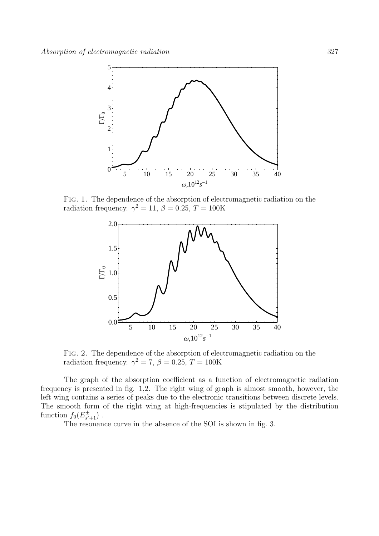

Fig. 1. The dependence of the absorption of electromagnetic radiation on the radiation frequency.  $\gamma^2 = 11$ ,  $\beta = 0.25$ ,  $T = 100$ K



Fig. 2. The dependence of the absorption of electromagnetic radiation on the radiation frequency.  $\gamma^2 = 7$ ,  $\beta = 0.25$ ,  $T = 100$ K

The graph of the absorption coefficient as a function of electromagnetic radiation frequency is presented in fig. 1,2. The right wing of graph is almost smooth, however, the left wing contains a series of peaks due to the electronic transitions between discrete levels. The smooth form of the right wing at high-frequencies is stipulated by the distribution function  $f_0(E_{s'+1}^{\pm})$ .<br>The resonance

The resonance curve in the absence of the SOI is shown in fig. 3.